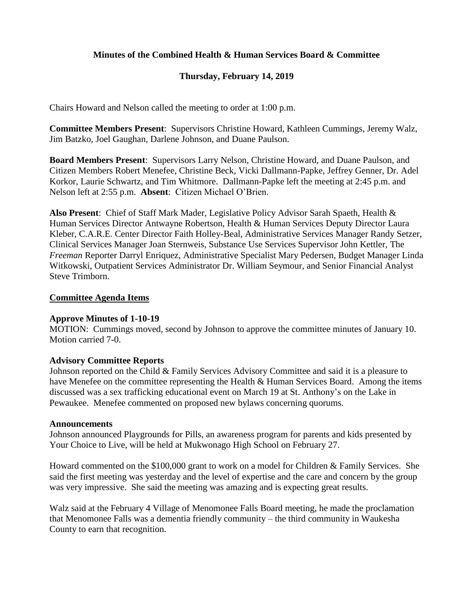# **Minutes of the Combined Health & Human Services Board & Committee**

# **Thursday, February 14, 2019**

Chairs Howard and Nelson called the meeting to order at 1:00 p.m.

**Committee Members Present**: Supervisors Christine Howard, Kathleen Cummings, Jeremy Walz, Jim Batzko, Joel Gaughan, Darlene Johnson, and Duane Paulson.

**Board Members Present**: Supervisors Larry Nelson, Christine Howard, and Duane Paulson, and Citizen Members Robert Menefee, Christine Beck, Vicki Dallmann-Papke, Jeffrey Genner, Dr. Adel Korkor, Laurie Schwartz, and Tim Whitmore. Dallmann-Papke left the meeting at 2:45 p.m. and Nelson left at 2:55 p.m. **Absent**: Citizen Michael O'Brien.

**Also Present**: Chief of Staff Mark Mader, Legislative Policy Advisor Sarah Spaeth, Health & Human Services Director Antwayne Robertson, Health & Human Services Deputy Director Laura Kleber, C.A.R.E. Center Director Faith Holley-Beal, Administrative Services Manager Randy Setzer, Clinical Services Manager Joan Sternweis, Substance Use Services Supervisor John Kettler, The *Freeman* Reporter Darryl Enriquez, Administrative Specialist Mary Pedersen, Budget Manager Linda Witkowski, Outpatient Services Administrator Dr. William Seymour, and Senior Financial Analyst Steve Trimborn.

#### **Committee Agenda Items**

### **Approve Minutes of 1-10-19**

MOTION: Cummings moved, second by Johnson to approve the committee minutes of January 10. Motion carried 7-0.

### **Advisory Committee Reports**

Johnson reported on the Child & Family Services Advisory Committee and said it is a pleasure to have Menefee on the committee representing the Health & Human Services Board. Among the items discussed was a sex trafficking educational event on March 19 at St. Anthony's on the Lake in Pewaukee. Menefee commented on proposed new bylaws concerning quorums.

#### **Announcements**

Johnson announced Playgrounds for Pills, an awareness program for parents and kids presented by Your Choice to Live, will be held at Mukwonago High School on February 27.

Howard commented on the \$100,000 grant to work on a model for Children & Family Services. She said the first meeting was yesterday and the level of expertise and the care and concern by the group was very impressive. She said the meeting was amazing and is expecting great results.

Walz said at the February 4 Village of Menomonee Falls Board meeting, he made the proclamation that Menomonee Falls was a dementia friendly community – the third community in Waukesha County to earn that recognition.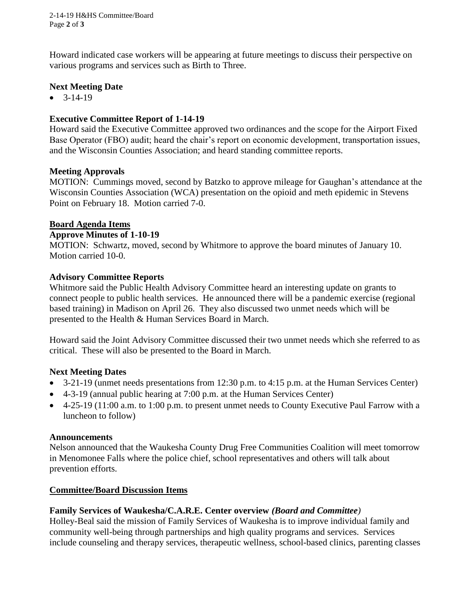2-14-19 H&HS Committee/Board Page **2** of **3**

Howard indicated case workers will be appearing at future meetings to discuss their perspective on various programs and services such as Birth to Three.

### **Next Meeting Date**

 $-3-14-19$ 

## **Executive Committee Report of 1-14-19**

Howard said the Executive Committee approved two ordinances and the scope for the Airport Fixed Base Operator (FBO) audit; heard the chair's report on economic development, transportation issues, and the Wisconsin Counties Association; and heard standing committee reports.

### **Meeting Approvals**

MOTION: Cummings moved, second by Batzko to approve mileage for Gaughan's attendance at the Wisconsin Counties Association (WCA) presentation on the opioid and meth epidemic in Stevens Point on February 18. Motion carried 7-0.

### **Board Agenda Items**

### **Approve Minutes of 1-10-19**

MOTION: Schwartz, moved, second by Whitmore to approve the board minutes of January 10. Motion carried 10-0.

### **Advisory Committee Reports**

Whitmore said the Public Health Advisory Committee heard an interesting update on grants to connect people to public health services. He announced there will be a pandemic exercise (regional based training) in Madison on April 26. They also discussed two unmet needs which will be presented to the Health & Human Services Board in March.

Howard said the Joint Advisory Committee discussed their two unmet needs which she referred to as critical. These will also be presented to the Board in March.

# **Next Meeting Dates**

- $\bullet$  3-21-19 (unmet needs presentations from 12:30 p.m. to 4:15 p.m. at the Human Services Center)
- 4-3-19 (annual public hearing at 7:00 p.m. at the Human Services Center)
- 4-25-19 (11:00 a.m. to 1:00 p.m. to present unmet needs to County Executive Paul Farrow with a luncheon to follow)

### **Announcements**

Nelson announced that the Waukesha County Drug Free Communities Coalition will meet tomorrow in Menomonee Falls where the police chief, school representatives and others will talk about prevention efforts.

### **Committee/Board Discussion Items**

# **Family Services of Waukesha/C.A.R.E. Center overview** *(Board and Committee)*

Holley-Beal said the mission of Family Services of Waukesha is to improve individual family and community well-being through partnerships and high quality programs and services. Services include counseling and therapy services, therapeutic wellness, school-based clinics, parenting classes